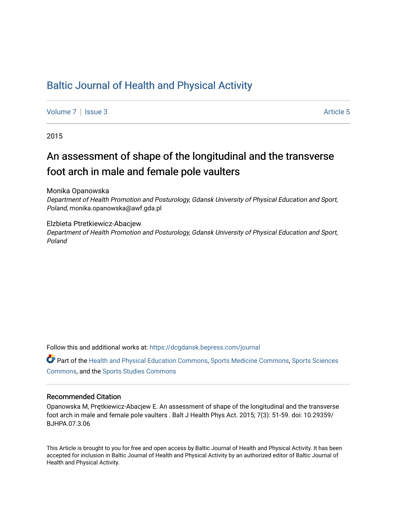### [Baltic Journal of Health and Physical Activity](https://dcgdansk.bepress.com/journal)

[Volume 7](https://dcgdansk.bepress.com/journal/vol7) | [Issue 3](https://dcgdansk.bepress.com/journal/vol7/iss3) Article 5

2015

## An assessment of shape of the longitudinal and the transverse foot arch in male and female pole vaulters

Monika Opanowska

Department of Health Promotion and Posturology, Gdansk University of Physical Education and Sport, Poland, monika.opanowska@awf.gda.pl

Elzbieta Ptretkiewicz-Abacjew Department of Health Promotion and Posturology, Gdansk University of Physical Education and Sport, Poland

Follow this and additional works at: [https://dcgdansk.bepress.com/journal](https://dcgdansk.bepress.com/journal?utm_source=dcgdansk.bepress.com%2Fjournal%2Fvol7%2Fiss3%2F5&utm_medium=PDF&utm_campaign=PDFCoverPages)

Part of the [Health and Physical Education Commons](http://network.bepress.com/hgg/discipline/1327?utm_source=dcgdansk.bepress.com%2Fjournal%2Fvol7%2Fiss3%2F5&utm_medium=PDF&utm_campaign=PDFCoverPages), [Sports Medicine Commons,](http://network.bepress.com/hgg/discipline/1331?utm_source=dcgdansk.bepress.com%2Fjournal%2Fvol7%2Fiss3%2F5&utm_medium=PDF&utm_campaign=PDFCoverPages) [Sports Sciences](http://network.bepress.com/hgg/discipline/759?utm_source=dcgdansk.bepress.com%2Fjournal%2Fvol7%2Fiss3%2F5&utm_medium=PDF&utm_campaign=PDFCoverPages) [Commons](http://network.bepress.com/hgg/discipline/759?utm_source=dcgdansk.bepress.com%2Fjournal%2Fvol7%2Fiss3%2F5&utm_medium=PDF&utm_campaign=PDFCoverPages), and the [Sports Studies Commons](http://network.bepress.com/hgg/discipline/1198?utm_source=dcgdansk.bepress.com%2Fjournal%2Fvol7%2Fiss3%2F5&utm_medium=PDF&utm_campaign=PDFCoverPages) 

#### Recommended Citation

Opanowska M, Prętkiewicz-Abacjew E. An assessment of shape of the longitudinal and the transverse foot arch in male and female pole vaulters . Balt J Health Phys Act. 2015; 7(3): 51-59. doi: 10.29359/ BJHPA.07.3.06

This Article is brought to you for free and open access by Baltic Journal of Health and Physical Activity. It has been accepted for inclusion in Baltic Journal of Health and Physical Activity by an authorized editor of Baltic Journal of Health and Physical Activity.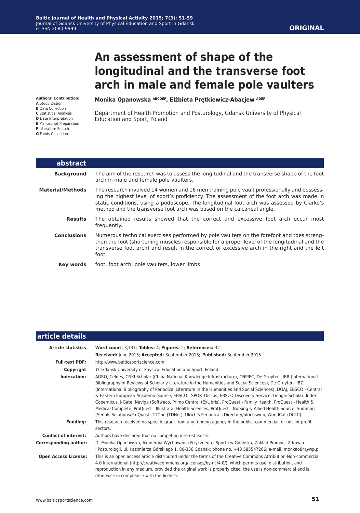# **An assessment of shape of the longitudinal and the transverse foot arch in male and female pole vaulters**

**Authors' Contribution:**

- **A** Study Design
- **B** Data Collection
- **C** Statistical Analysis
- **D** Data Interpretation **E** Manuscript Preparation
- **F** Literature Search

**G** Funds Collection

L

**Monika Opanowska ABCDEF, Elżbieta Prętkiewicz-Abacjew ADEF**

Department of Health Promotion and Posturology, Gdansk University of Physical Education and Sport, Poland

| abstract           |                                                                                                                                                                                                                                                                                                                                                              |
|--------------------|--------------------------------------------------------------------------------------------------------------------------------------------------------------------------------------------------------------------------------------------------------------------------------------------------------------------------------------------------------------|
| <b>Background</b>  | The aim of the research was to assess the longitudinal and the transverse shape of the foot<br>arch in male and female pole vaulters.                                                                                                                                                                                                                        |
| Material/Methods   | The research involved 14 women and 16 men training pole vault professionally and possess-<br>ing the highest level of sport's proficiency. The assessment of the foot arch was made in<br>static conditions, using a podoscope. The longitudinal foot arch was assessed by Clarke's<br>method and the transverse foot arch was based on the calcaneal angle. |
| <b>Results</b>     | The obtained results showed that the correct and excessive foot arch occur most<br>frequently.                                                                                                                                                                                                                                                               |
| <b>Conclusions</b> | Numerous technical exercises performed by pole vaulters on the forefoot and toes streng-<br>then the foot (shortening muscles responsible for a proper level of the longitudinal and the<br>transverse foot arch) and result in the correct or excessive arch in the right and the left<br>foot.                                                             |
| Key words          | foot, foot arch, pole vaulters, lower limbs                                                                                                                                                                                                                                                                                                                  |

| article details              |                                                                                                                                                                                                                                                                                                                                                                                                                                                                                                                                                                                                                                                                                                                                                                                                      |
|------------------------------|------------------------------------------------------------------------------------------------------------------------------------------------------------------------------------------------------------------------------------------------------------------------------------------------------------------------------------------------------------------------------------------------------------------------------------------------------------------------------------------------------------------------------------------------------------------------------------------------------------------------------------------------------------------------------------------------------------------------------------------------------------------------------------------------------|
| <b>Article statistics</b>    | Word count: 3,737; Tables: 4; Figures: 2; References: 32                                                                                                                                                                                                                                                                                                                                                                                                                                                                                                                                                                                                                                                                                                                                             |
|                              | Received: June 2015; Accepted: September 2015; Published: September 2015                                                                                                                                                                                                                                                                                                                                                                                                                                                                                                                                                                                                                                                                                                                             |
| <b>Full-text PDF:</b>        | http://www.balticsportscience.com                                                                                                                                                                                                                                                                                                                                                                                                                                                                                                                                                                                                                                                                                                                                                                    |
| Copyright                    | © Gdansk University of Physical Education and Sport, Poland                                                                                                                                                                                                                                                                                                                                                                                                                                                                                                                                                                                                                                                                                                                                          |
| Indexation:                  | AGRO, Celdes, CNKI Scholar (China National Knowledge Infrastructure), CNPIEC, De Gruyter - IBR (International<br>Bibliography of Reviews of Scholarly Literature in the Humanities and Social Sciences), De Gruyter - IBZ<br>(International Bibliography of Periodical Literature in the Humanities and Social Sciences), DOAJ, EBSCO - Central<br>& Eastern European Academic Source, EBSCO - SPORTDiscus, EBSCO Discovery Service, Google Scholar, Index<br>Copernicus, J-Gate, Naviga (Softweco, Primo Central (ExLibris), ProQuest - Family Health, ProQuest - Health &<br>Medical Complete, ProQuest - Illustrata: Health Sciences, ProQuest - Nursing & Allied Health Source, Summon<br>(Serials Solutions/ProQuest, TDOne (TDNet), Ulrich's Periodicals Directory/ulrichsweb, WorldCat (OCLC) |
| <b>Funding:</b>              | This research received no specific grant from any funding agency in the public, commercial, or not-for-profit<br>sectors.                                                                                                                                                                                                                                                                                                                                                                                                                                                                                                                                                                                                                                                                            |
| <b>Conflict of interest:</b> | Authors have declared that no competing interest exists.                                                                                                                                                                                                                                                                                                                                                                                                                                                                                                                                                                                                                                                                                                                                             |
| <b>Corresponding author:</b> | Dr Monika Opanowska, Akademia Wychowania Fizycznego i Sportu w Gdańsku, Zakład Promocji Zdrowia<br>i Posturologii, ul. Kazimierza Górskiego 1, 80-336 Gdańsk; phone no. +48 585547266; e-mail: monkao84@wp.pl                                                                                                                                                                                                                                                                                                                                                                                                                                                                                                                                                                                        |
| <b>Open Access License:</b>  | This is an open access article distributed under the terms of the Creative Commons Attribution-Non-commercial<br>4.0 International (http://creativecommons.org/licenses/by-nc/4.0/), which permits use, distribution, and<br>reproduction in any medium, provided the original work is properly cited, the use is non-commercial and is<br>otherwise in compliance with the license.                                                                                                                                                                                                                                                                                                                                                                                                                 |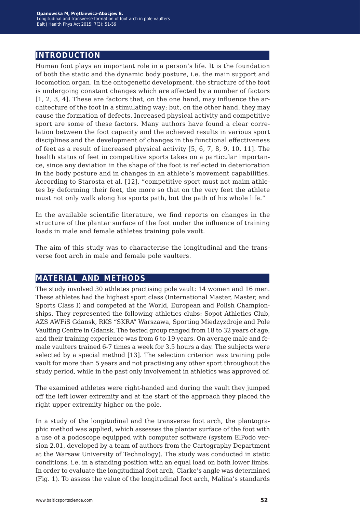### **introduction**

Human foot plays an important role in a person's life. It is the foundation of both the static and the dynamic body posture, i.e. the main support and locomotion organ. In the ontogenetic development, the structure of the foot is undergoing constant changes which are affected by a number of factors [1, 2, 3, 4]. These are factors that, on the one hand, may influence the architecture of the foot in a stimulating way; but, on the other hand, they may cause the formation of defects. Increased physical activity and competitive sport are some of these factors. Many authors have found a clear correlation between the foot capacity and the achieved results in various sport disciplines and the development of changes in the functional effectiveness of feet as a result of increased physical activity [5, 6, 7, 8, 9, 10, 11]. The health status of feet in competitive sports takes on a particular importance, since any deviation in the shape of the foot is reflected in deterioration in the body posture and in changes in an athlete's movement capabilities. According to Starosta et al. [12], "competitive sport must not maim athletes by deforming their feet, the more so that on the very feet the athlete must not only walk along his sports path, but the path of his whole life."

In the available scientific literature, we find reports on changes in the structure of the plantar surface of the foot under the influence of training loads in male and female athletes training pole vault.

The aim of this study was to characterise the longitudinal and the transverse foot arch in male and female pole vaulters.

#### **material and methods**

The study involved 30 athletes practising pole vault: 14 women and 16 men. These athletes had the highest sport class (International Master, Master, and Sports Class I) and competed at the World, European and Polish Championships. They represented the following athletics clubs: Sopot Athletics Club, AZS AWFiS Gdansk, RKS "SKRA" Warszawa, Sporting Miedzyzdroje and Pole Vaulting Centre in Gdansk. The tested group ranged from 18 to 32 years of age, and their training experience was from 6 to 19 years. On average male and female vaulters trained 6-7 times a week for 3.5 hours a day. The subjects were selected by a special method [13]. The selection criterion was training pole vault for more than 5 years and not practising any other sport throughout the study period, while in the past only involvement in athletics was approved of.

The examined athletes were right-handed and during the vault they jumped off the left lower extremity and at the start of the approach they placed the right upper extremity higher on the pole.

In a study of the longitudinal and the transverse foot arch, the plantographic method was applied, which assesses the plantar surface of the foot with a use of a podoscope equipped with computer software (system ElPodo version 2.01, developed by a team of authors from the Cartography Department at the Warsaw University of Technology). The study was conducted in static conditions, i.e. in a standing position with an equal load on both lower limbs. In order to evaluate the longitudinal foot arch, Clarke's angle was determined (Fig. 1). To assess the value of the longitudinal foot arch, Malina's standards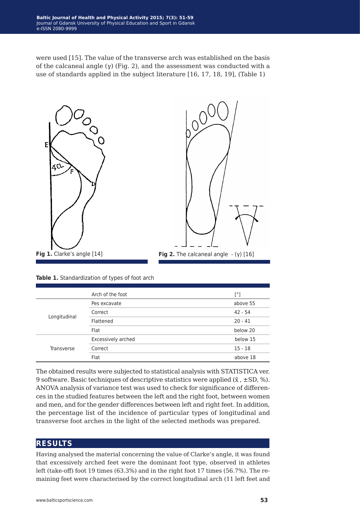were used [15]. The value of the transverse arch was established on the basis of the calcaneal angle (γ) (Fig. 2), and the assessment was conducted with a use of standards applied in the subject literature [16, 17, 18, 19], (Table 1)



**Table 1.** Standardization of types of foot arch

|                   | Arch of the foot   | $\lceil$ °1 |
|-------------------|--------------------|-------------|
|                   | Pes excavate       | above 55    |
|                   | Correct            | $42 - 54$   |
| Longitudinal      | Flattened          | $20 - 41$   |
|                   | Flat               | below 20    |
|                   | Excessively arched | below 15    |
| <b>Transverse</b> | Correct            | $15 - 18$   |
|                   | Flat               | above 18    |

The obtained results were subjected to statistical analysis with STATISTICA ver. 9 software. Basic techniques of descriptive statistics were applied  $(\bar{x}, \pm SD, \%)$ . ANOVA analysis of variance test was used to check for significance of differences in the studied features between the left and the right foot, between women and men, and for the gender differences between left and right feet. In addition, the percentage list of the incidence of particular types of longitudinal and transverse foot arches in the light of the selected methods was prepared.

#### **results**

Having analysed the material concerning the value of Clarke's angle, it was found that excessively arched feet were the dominant foot type, observed in athletes left (take-off) foot 19 times (63.3%) and in the right foot 17 times (56.7%). The remaining feet were characterised by the correct longitudinal arch (11 left feet and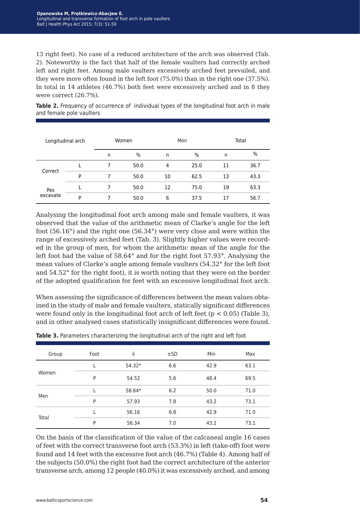13 right feet). No case of a reduced architecture of the arch was observed (Tab. 2). Noteworthy is the fact that half of the female vaulters had correctly arched left and right feet. Among male vaulters excessively arched feet prevailed, and they were more often found in the left foot (75.0%) than in the right one (37.5%). In total in 14 athletes (46.7%) both feet were excessively arched and in 8 they were correct (26.7%).

**Table 2.** Frequency of occurrence of individual types of the longitudinal foot arch in male and female pole vaulters

| Longitudinal arch |   | Women |      | Men            |      | Total |      |
|-------------------|---|-------|------|----------------|------|-------|------|
|                   |   | n     | %    | n              | $\%$ | n     | %    |
| Correct           |   |       | 50.0 | $\overline{4}$ | 25.0 | 11    | 36.7 |
|                   | P |       | 50.0 | 10             | 62.5 | 13    | 43.3 |
| Pes<br>excavate   |   |       | 50.0 | 12             | 75.0 | 19    | 63.3 |
|                   | P |       | 50.0 | 6              | 37.5 | 17    | 56.7 |

Analysing the longitudinal foot arch among male and female vaulters, it was observed that the value of the arithmetic mean of Clarke's angle for the left foot (56.16°) and the right one (56.34°) were very close and were within the range of excessively arched feet (Tab. 3). Slightly higher values were recorded in the group of men, for whom the arithmetic mean of the angle for the left foot had the value of 58.64° and for the right foot 57.93°. Analysing the mean values of Clarke's angle among female vaulters (54.32° for the left foot and 54.52° for the right foot), it is worth noting that they were on the border of the adopted qualification for feet with an excessive longitudinal foot arch.

When assessing the significance of differences between the mean values obtained in the study of male and female vaulters, statically significant differences were found only in the longitudinal foot arch of left feet  $(p < 0.05)$  (Table 3), and in other analysed cases statistically insignificant differences were found.

| Group | Foot | $\bar{x}$ | ±SD | Min  | Max  |
|-------|------|-----------|-----|------|------|
| Women |      | 54.32*    | 6.6 | 42.9 | 63.1 |
|       | P    | 54.52     | 5.6 | 48.4 | 69.5 |
| Men   |      | 58.64*    | 6.2 | 50.0 | 71.0 |
|       | P    | 57.93     | 7.8 | 43.2 | 73.1 |
| Total |      | 56.16     | 6.8 | 42.9 | 71.0 |
|       | P    | 56.34     | 7.0 | 43.2 | 73.1 |

**Table 3.** Parameters characterizing the longitudinal arch of the right and left foot

On the basis of the classification of the value of the calcaneal angle 16 cases of feet with the correct transverse foot arch (53.3%) in left (take-off) foot were found and 14 feet with the excessive foot arch (46.7%) (Table 4). Among half of the subjects (50.0%) the right foot had the correct architecture of the anterior transverse arch, among 12 people (40.0%) it was excessively arched, and among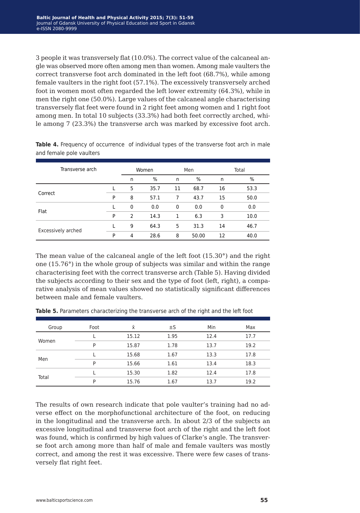3 people it was transversely flat (10.0%). The correct value of the calcaneal angle was observed more often among men than women. Among male vaulters the correct transverse foot arch dominated in the left foot (68.7%), while among female vaulters in the right foot (57.1%). The excessively transversely arched foot in women most often regarded the left lower extremity (64.3%), while in men the right one (50.0%). Large values of the calcaneal angle characterising transversely flat feet were found in 2 right feet among women and 1 right foot among men. In total 10 subjects (33.3%) had both feet correctly arched, while among 7 (23.3%) the transverse arch was marked by excessive foot arch.

| Transverse arch    |   | Women         |      | Men          |       | Total        |      |
|--------------------|---|---------------|------|--------------|-------|--------------|------|
|                    |   | n             | %    | n            | %     | n            | %    |
|                    |   | 5             | 35.7 | 11           | 68.7  | 16           | 53.3 |
| Correct            | P | 8             | 57.1 |              | 43.7  | 15           | 50.0 |
|                    |   | $\Omega$      | 0.0  | $\mathbf{0}$ | 0.0   | $\mathbf{0}$ | 0.0  |
| Flat               | P | $\mathcal{P}$ | 14.3 | 1            | 6.3   | 3            | 10.0 |
| Excessively arched |   | 9             | 64.3 | 5            | 31.3  | 14           | 46.7 |
|                    | P | 4             | 28.6 | 8            | 50.00 | 12           | 40.0 |

**Table 4.** Frequency of occurrence of individual types of the transverse foot arch in male and female pole vaulters

The mean value of the calcaneal angle of the left foot (15.30°) and the right one (15.76°) in the whole group of subjects was similar and within the range characterising feet with the correct transverse arch (Table 5). Having divided the subjects according to their sex and the type of foot (left, right), a comparative analysis of mean values showed no statistically significant differences between male and female vaulters.

| Group | Foot | Ϋ́    | $\pm$ S | Min  | Max  |
|-------|------|-------|---------|------|------|
| Women |      | 15.12 | 1.95    | 12.4 | 17.7 |
|       | P    | 15.87 | 1.78    | 13.7 | 19.2 |
| Men   |      | 15.68 | 1.67    | 13.3 | 17.8 |
|       | P    | 15.66 | 1.61    | 13.4 | 18.3 |
| Total |      | 15.30 | 1.82    | 12.4 | 17.8 |
|       | P    | 15.76 | 1.67    | 13.7 | 19.2 |

**Table 5.** Parameters characterizing the transverse arch of the right and the left foot

The results of own research indicate that pole vaulter's training had no adverse effect on the morphofunctional architecture of the foot, on reducing in the longitudinal and the transverse arch. In about 2/3 of the subjects an excessive longitudinal and transverse foot arch of the right and the left foot was found, which is confirmed by high values of Clarke's angle. The transverse foot arch among more than half of male and female vaulters was mostly correct, and among the rest it was excessive. There were few cases of transversely flat right feet.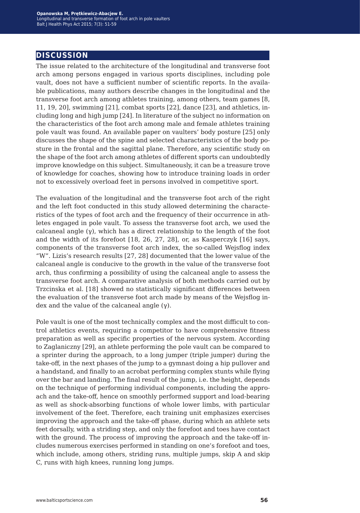### **discussion**

The issue related to the architecture of the longitudinal and transverse foot arch among persons engaged in various sports disciplines, including pole vault, does not have a sufficient number of scientific reports. In the available publications, many authors describe changes in the longitudinal and the transverse foot arch among athletes training, among others, team games [8, 11, 19, 20], swimming [21], combat sports [22], dance [23], and athletics, including long and high jump [24]. In literature of the subject no information on the characteristics of the foot arch among male and female athletes training pole vault was found. An available paper on vaulters' body posture [25] only discusses the shape of the spine and selected characteristics of the body posture in the frontal and the sagittal plane. Therefore, any scientific study on the shape of the foot arch among athletes of different sports can undoubtedly improve knowledge on this subject. Simultaneously, it can be a treasure trove of knowledge for coaches, showing how to introduce training loads in order not to excessively overload feet in persons involved in competitive sport.

The evaluation of the longitudinal and the transverse foot arch of the right and the left foot conducted in this study allowed determining the characteristics of the types of foot arch and the frequency of their occurrence in athletes engaged in pole vault. To assess the transverse foot arch, we used the calcaneal angle  $(y)$ , which has a direct relationship to the length of the foot and the width of its forefoot [18, 26, 27, 28], or, as Kasperczyk [16] says, components of the transverse foot arch index, the so-called Wejsflog index "W". Lizis's research results [27, 28] documented that the lower value of the calcaneal angle is conducive to the growth in the value of the transverse foot arch, thus confirming a possibility of using the calcaneal angle to assess the transverse foot arch. A comparative analysis of both methods carried out by Trzcinska et al. [18] showed no statistically significant differences between the evaluation of the transverse foot arch made by means of the Wejsflog index and the value of the calcaneal angle  $(γ)$ .

Pole vault is one of the most technically complex and the most difficult to control athletics events, requiring a competitor to have comprehensive fitness preparation as well as specific properties of the nervous system. According to Zaglaniczny [29], an athlete performing the pole vault can be compared to a sprinter during the approach, to a long jumper (triple jumper) during the take-off, in the next phases of the jump to a gymnast doing a hip pullover and a handstand, and finally to an acrobat performing complex stunts while flying over the bar and landing. The final result of the jump, i.e. the height, depends on the technique of performing individual components, including the approach and the take-off, hence on smoothly performed support and load-bearing as well as shock-absorbing functions of whole lower limbs, with particular involvement of the feet. Therefore, each training unit emphasizes exercises improving the approach and the take-off phase, during which an athlete sets feet dorsally, with a striding step, and only the forefoot and toes have contact with the ground. The process of improving the approach and the take-off includes numerous exercises performed in standing on one's forefoot and toes, which include, among others, striding runs, multiple jumps, skip A and skip C, runs with high knees, running long jumps.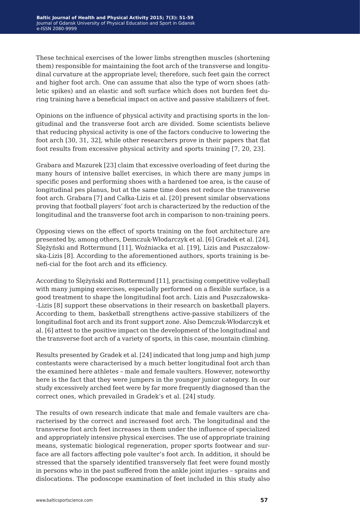These technical exercises of the lower limbs strengthen muscles (shortening them) responsible for maintaining the foot arch of the transverse and longitudinal curvature at the appropriate level; therefore, such feet gain the correct and higher foot arch. One can assume that also the type of worn shoes (athletic spikes) and an elastic and soft surface which does not burden feet during training have a beneficial impact on active and passive stabilizers of feet.

Opinions on the influence of physical activity and practising sports in the longitudinal and the transverse foot arch are divided. Some scientists believe that reducing physical activity is one of the factors conducive to lowering the foot arch [30, 31, 32], while other researchers prove in their papers that flat foot results from excessive physical activity and sports training [7, 20, 23].

Grabara and Mazurek [23] claim that excessive overloading of feet during the many hours of intensive ballet exercises, in which there are many jumps in specific poses and performing shoes with a hardened toe area, is the cause of longitudinal pes planus, but at the same time does not reduce the transverse foot arch. Grabara [7] and Całka-Lizis et al. [20] present similar observations proving that football players' foot arch is characterized by the reduction of the longitudinal and the transverse foot arch in comparison to non-training peers.

Opposing views on the effect of sports training on the foot architecture are presented by, among others, Demczuk-Włodarczyk et al. [6] Gradek et al. [24], Ślężyński and Rottermund [11], Woźniacka et al. [19], Lizis and Puszczałowska-Lizis [8]. According to the aforementioned authors, sports training is benefi-cial for the foot arch and its efficiency.

According to Ślężyński and Rottermund [11], practising competitive volleyball with many jumping exercises, especially performed on a flexible surface, is a good treatment to shape the longitudinal foot arch. Lizis and Puszczałowska- -Lizis [8] support these observations in their research on basketball players. According to them, basketball strengthens active-passive stabilizers of the longitudinal foot arch and its front support zone. Also Demczuk-Włodarczyk et al. [6] attest to the positive impact on the development of the longitudinal and the transverse foot arch of a variety of sports, in this case, mountain climbing.

Results presented by Gradek et al. [24] indicated that long jump and high jump contestants were characterised by a much better longitudinal foot arch than the examined here athletes – male and female vaulters. However, noteworthy here is the fact that they were jumpers in the younger junior category. In our study excessively arched feet were by far more frequently diagnosed than the correct ones, which prevailed in Gradek's et al. [24] study.

The results of own research indicate that male and female vaulters are characterised by the correct and increased foot arch. The longitudinal and the transverse foot arch feet increases in them under the influence of specialized and appropriately intensive physical exercises. The use of appropriate training means, systematic biological regeneration, proper sports footwear and surface are all factors affecting pole vaulter's foot arch. In addition, it should be stressed that the sparsely identified transversely flat feet were found mostly in persons who in the past suffered from the ankle joint injuries – sprains and dislocations. The podoscope examination of feet included in this study also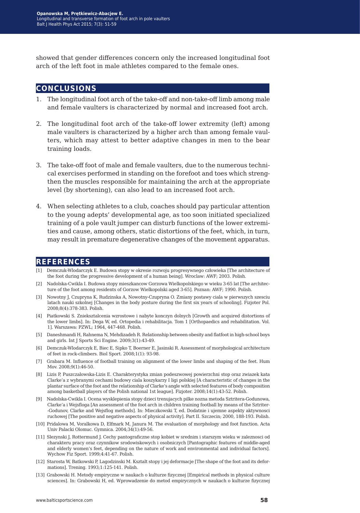showed that gender differences concern only the increased longitudinal foot arch of the left foot in male athletes compared to the female ones.

### **conclusions**

- 1. The longitudinal foot arch of the take-off and non-take-off limb among male and female vaulters is characterized by normal and increased foot arch.
- 2. The longitudinal foot arch of the take-off lower extremity (left) among male vaulters is characterized by a higher arch than among female vaulters, which may attest to better adaptive changes in men to the bear training loads.
- 3. The take-off foot of male and female vaulters, due to the numerous technical exercises performed in standing on the forefoot and toes which strengthen the muscles responsible for maintaining the arch at the appropriate level (by shortening), can also lead to an increased foot arch.
- 4. When selecting athletes to a club, coaches should pay particular attention to the young adepts' developmental age, as too soon initiated specialized training of a pole vault jumper can disturb functions of the lower extremities and cause, among others, static distortions of the feet, which, in turn, may result in premature degenerative changes of the movement apparatus.

#### **references**

- [1] Demczuk-Wlodarczyk E. Budowa stopy w okresie rozwoju progresywnego człowieka [The architecture of the foot during the progressive development of a human being]. Wroclaw: AWF; 2003. Polish.
- [2] Nadolska-Cwikla I. Budowa stopy mieszkancow Gorzowa Wielkopolskiego w wieku 3-65 lat [The architecture of the foot among residents of Gorzow Wielkopolski aged 3-65]. Poznan: AWF; 1990. Polish.
- [3] Nowotny J, Czupryna K, Rudzinska A, Nowotny-Czupryna O. Zmiany postawy ciala w pierwszych szesciu latach nauki szkolnej [Changes in the body posture during the first six years of schooling]. Fizjoter Pol. 2008;8(4):378-383. Polish.
- [4] Piatkowski S. Znieksztalcenia wzrostowe i nabyte konczyn dolnych [Growth and acquired distortions of the lower limbs]. In: Dega W, ed. Ortopedia i rehabilitacja. Tom 1 [Orthopaedics and rehabilitation. Vol. 1]. Warszawa: PZWL; 1964, 447-468. Polish.
- [5] Daneshmandi H, Rahnema N, Mehdizadeh R. Relationship between obesity and flatfoot in high-school boys and girls. Int J Sports Sci Engine. 2009;3(1):43-49.
- [6] Demczuk-Wlodarczyk E, Biec E, Sipko T, Boerner E, Jasinski R. Assessment of morphological architecture of feet in rock-climbers. Biol Sport. 2008;1(1): 93-98.
- [7] Grabara M. Influence of football training on alignment of the lower limbs and shaping of the feet. Hum Mov. 2008;9(1):46-50.
- [8] Lizis P, Puszczalowska-Lizis E. Charakterystyka zmian podeszwowej powierzchni stop oraz zwiazek kata Clarke'a z wybranymi cechami budowy ciala koszykarzy I ligi polskiej [A characteristic of changes in the plantar surface of the foot and the relationship of Clarke's angle with selected features of body composition among basketball players of the Polish national 1st league]. Fizjoter. 2008;14(1):43-52. Polish.
- [9] Nadolska-Cwikla I. Ocena wysklepienia stopy dzieci trenujacych pilke nozna metoda Sztritera-Godunowa, Clarke'a i Wejsfloga [An assessment of the foot arch in children training football by means of the Sztriter- -Godunov, Clarke and Wejsflog methods]. In: Mieczkowski T, ed. Dodatnie i ujemne aspekty aktywnosci ruchowej [The positive and negative aspects of physical activity]. Part II. Szczecin; 2000, 188-193. Polish.
- [10] Pridalowa M, Voralkowa D, Elfmark M, Janura M. The evaluation of morphology and foot function. Acta Univ Palacki Olomuc. Gymnica. 2004;34(1):49-56.
- [11] Slezynski J, Rottermund J. Cechy pantograficzne stop kobiet w srednim i starszym wieku w zaleznosci od charakteru pracy oraz czynnikow srodowiskowych i osobniczych [Pantographic features of middle-aged and elderly women's feet, depending on the nature of work and environmental and individual factors]. Wychow Fiz Sport. 1999;4:41-67. Polish.
- [12] Starosta W, Batkowski P, Lagodzinski M. Ksztalt stopy i jej deformacje [The shape of the foot and its deformations]. Trening. 1993;1:125-141. Polish.
- [13] Grabowski H. Metody empiryczne w naukach o kulturze fizycznej [Empirical methods in physical culture sciences]. In: Grabowski H, ed. Wprowadzenie do metod empirycznych w naukach o kulturze fizycznej